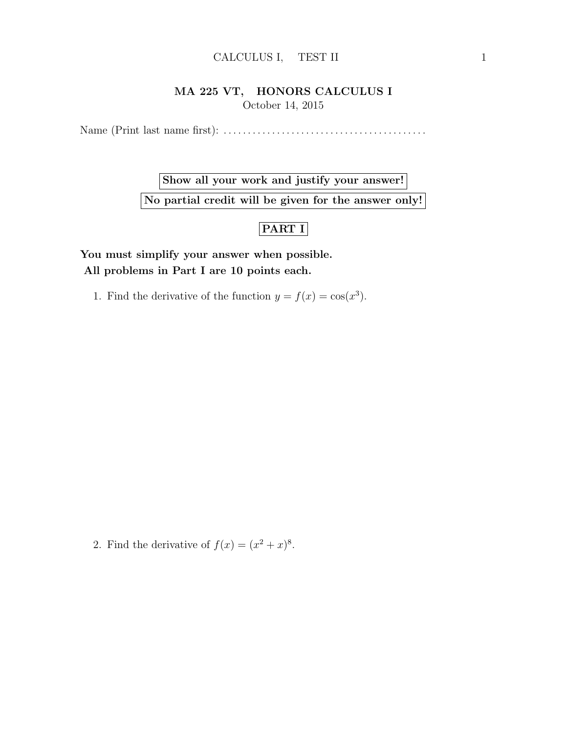## CALCULUS I, TEST II 1

## MA 225 VT, HONORS CALCULUS I October 14, 2015

Name (Print last name first): . . . . . . . . . . . . . . . . . . . . . . . . . . . . . . . . . . . . . . . . . .

Show all your work and justify your answer!

No partial credit will be given for the answer only!

## PART I

You must simplify your answer when possible. All problems in Part I are 10 points each.

1. Find the derivative of the function  $y = f(x) = \cos(x^3)$ .

2. Find the derivative of  $f(x) = (x^2 + x)^8$ .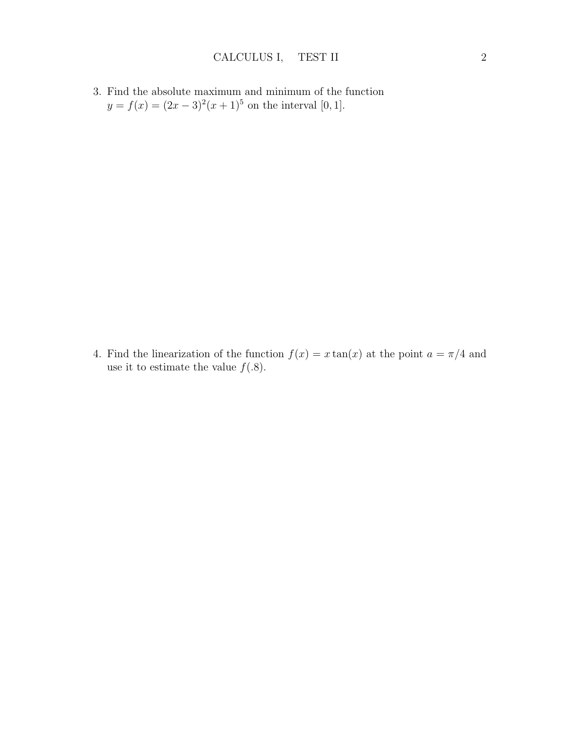3. Find the absolute maximum and minimum of the function  $y = f(x) = (2x - 3)^2(x + 1)^5$  on the interval [0, 1].

4. Find the linearization of the function  $f(x) = x \tan(x)$  at the point  $a = \pi/4$  and use it to estimate the value  $f(.8)$ .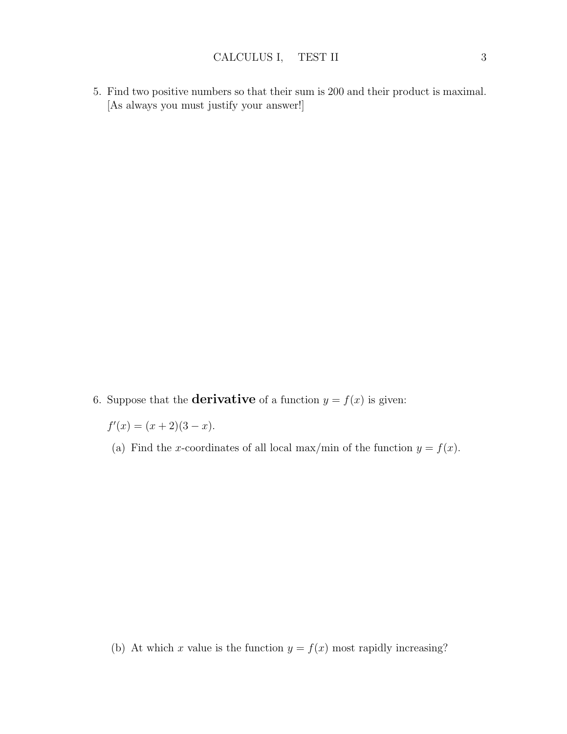5. Find two positive numbers so that their sum is 200 and their product is maximal. [As always you must justify your answer!]

6. Suppose that the **derivative** of a function  $y = f(x)$  is given:

 $f'(x) = (x+2)(3-x).$ 

(a) Find the x-coordinates of all local max/min of the function  $y = f(x)$ .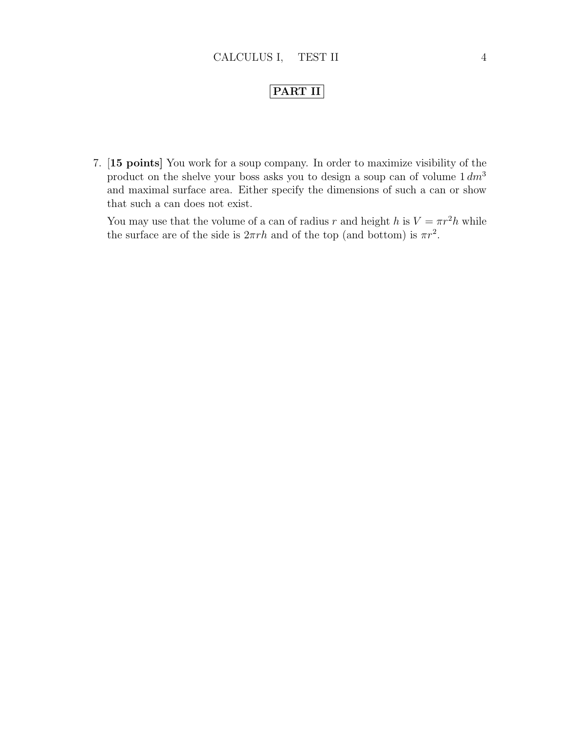## PART II

7. [15 points] You work for a soup company. In order to maximize visibility of the product on the shelve your boss asks you to design a soup can of volume  $1 \, dm<sup>3</sup>$ and maximal surface area. Either specify the dimensions of such a can or show that such a can does not exist.

You may use that the volume of a can of radius r and height h is  $V = \pi r^2 h$  while the surface are of the side is  $2\pi rh$  and of the top (and bottom) is  $\pi r^2$ .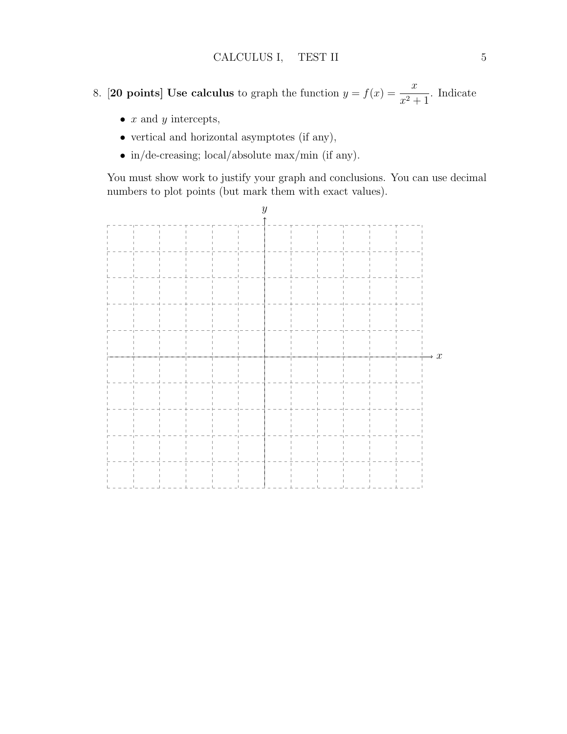- 8. [20 points] Use calculus to graph the function  $y = f(x) = \frac{x}{x}$  $\frac{x}{x^2+1}$ . Indicate
	- $x$  and  $y$  intercepts,
	- vertical and horizontal asymptotes (if any),
	- in/de-creasing; local/absolute max/min (if any).

You must show work to justify your graph and conclusions. You can use decimal numbers to plot points (but mark them with exact values).